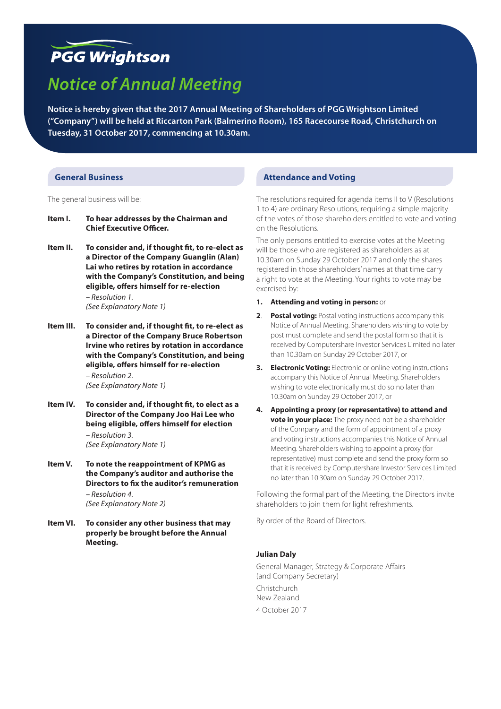# **PGG Wrightson**

# *Notice of Annual Meeting*

**Notice is hereby given that the 2017 Annual Meeting of Shareholders of PGG Wrightson Limited ("Company") will be held at Riccarton Park (Balmerino Room), 165 Racecourse Road, Christchurch on Tuesday, 31 October 2017, commencing at 10.30am.**

## **General Business**

The general business will be:

- **Item I. To hear addresses by the Chairman and Chief Executive Officer.**
- **Item II. To consider and, if thought fit, to re-elect as a Director of the Company Guanglin (Alan) Lai who retires by rotation in accordance with the Company's Constitution, and being eligible, offers himself for re-election**  *– Resolution 1.*

*(See Explanatory Note 1)*

**Item III. To consider and, if thought fit, to re-elect as a Director of the Company Bruce Robertson Irvine who retires by rotation in accordance with the Company's Constitution, and being eligible, offers himself for re-election** 

> *– Resolution 2. (See Explanatory Note 1)*

- **Item IV. To consider and, if thought fit, to elect as a Director of the Company Joo Hai Lee who being eligible, offers himself for election**  *– Resolution 3. (See Explanatory Note 1)*
- **Item V. To note the reappointment of KPMG as the Company's auditor and authorise the Directors to fix the auditor's remuneration**  *– Resolution 4. (See Explanatory Note 2)*
- **Item VI. To consider any other business that may properly be brought before the Annual Meeting.**

## **Attendance and Voting**

The resolutions required for agenda items II to V (Resolutions 1 to 4) are ordinary Resolutions, requiring a simple majority of the votes of those shareholders entitled to vote and voting on the Resolutions.

The only persons entitled to exercise votes at the Meeting will be those who are registered as shareholders as at 10.30am on Sunday 29 October 2017 and only the shares registered in those shareholders' names at that time carry a right to vote at the Meeting. Your rights to vote may be exercised by:

- **1. Attending and voting in person:** or
- **2**. **Postal voting:** Postal voting instructions accompany this Notice of Annual Meeting. Shareholders wishing to vote by post must complete and send the postal form so that it is received by Computershare Investor Services Limited no later than 10.30am on Sunday 29 October 2017, or
- **3. Electronic Voting:** Electronic or online voting instructions accompany this Notice of Annual Meeting. Shareholders wishing to vote electronically must do so no later than 10.30am on Sunday 29 October 2017, or
- **4. Appointing a proxy (or representative) to attend and vote in your place:** The proxy need not be a shareholder of the Company and the form of appointment of a proxy and voting instructions accompanies this Notice of Annual Meeting. Shareholders wishing to appoint a proxy (for representative) must complete and send the proxy form so that it is received by Computershare Investor Services Limited no later than 10.30am on Sunday 29 October 2017.

Following the formal part of the Meeting, the Directors invite shareholders to join them for light refreshments.

By order of the Board of Directors.

## **Julian Daly**

General Manager, Strategy & Corporate Affairs (and Company Secretary) Christchurch New Zealand 4 October 2017